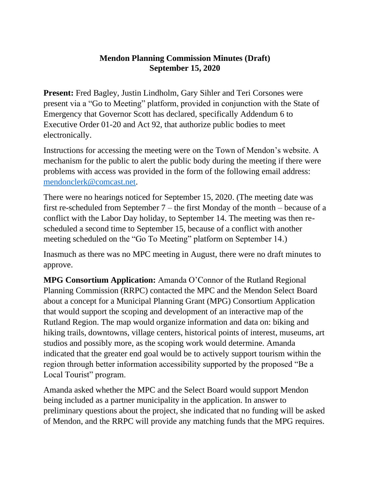## **Mendon Planning Commission Minutes (Draft) September 15, 2020**

**Present:** Fred Bagley, Justin Lindholm, Gary Sihler and Teri Corsones were present via a "Go to Meeting" platform, provided in conjunction with the State of Emergency that Governor Scott has declared, specifically Addendum 6 to Executive Order 01-20 and Act 92, that authorize public bodies to meet electronically.

Instructions for accessing the meeting were on the Town of Mendon's website. A mechanism for the public to alert the public body during the meeting if there were problems with access was provided in the form of the following email address: [mendonclerk@comcast.net.](mailto:mendonclerk@comcast.net)

There were no hearings noticed for September 15, 2020. (The meeting date was first re-scheduled from September 7 – the first Monday of the month – because of a conflict with the Labor Day holiday, to September 14. The meeting was then rescheduled a second time to September 15, because of a conflict with another meeting scheduled on the "Go To Meeting" platform on September 14.)

Inasmuch as there was no MPC meeting in August, there were no draft minutes to approve.

**MPG Consortium Application:** Amanda O'Connor of the Rutland Regional Planning Commission (RRPC) contacted the MPC and the Mendon Select Board about a concept for a Municipal Planning Grant (MPG) Consortium Application that would support the scoping and development of an interactive map of the Rutland Region. The map would organize information and data on: biking and hiking trails, downtowns, village centers, historical points of interest, museums, art studios and possibly more, as the scoping work would determine. Amanda indicated that the greater end goal would be to actively support tourism within the region through better information accessibility supported by the proposed "Be a Local Tourist" program.

Amanda asked whether the MPC and the Select Board would support Mendon being included as a partner municipality in the application. In answer to preliminary questions about the project, she indicated that no funding will be asked of Mendon, and the RRPC will provide any matching funds that the MPG requires.